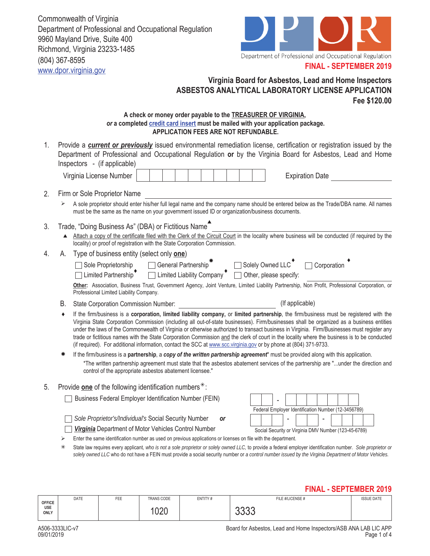Commonwealth of Virginia Department of Professional and Occupational Regulation 9960 Mayland Drive, Suite 400 Richmond, Virginia 23233-1485 (804) 367-8595 www.dpor.virginia.gov



#### **FINAL - SEPTEMBER 2019**

## **Virginia Board for Asbestos, Lead and Home Inspectors ASBESTOS ANALYTICAL LABORATORY LICENSE APPLICATION Fee \$120.00**

#### **A check or money order payable to the TREASURER OF VIRGINIA,**  *or* **a completed credit card insert must be mailed with your application package. APPLICATION FEES ARE NOT REFUNDABLE.**

Provide a *current or previously* issued environmental remediation license, certification or registration issued by the Department of Professional and Occupational Regulation **or** by the Virginia Board for Asbestos, Lead and Home Inspectors - (if applicable) 1.

| ∟icense Number<br>Virginia |  |  |  |  |  |  |  |  |  |  | Date<br>:xpiration |
|----------------------------|--|--|--|--|--|--|--|--|--|--|--------------------|
|----------------------------|--|--|--|--|--|--|--|--|--|--|--------------------|

## 2. Firm or Sole Proprietor Name

- A sole proprietor should enter his/her full legal name and the company name should be entered below as the Trade/DBA name. All names must be the same as the name on your government issued ID or organization/business documents.
- 3. Trade, "Doing Business As" (DBA) or Fictitious Name<sup>4</sup>
	- $\blacktriangle$ Attach a copy of the certificate filed with the Clerk of the Circuit Court in the locality where business will be conducted (if required by the locality) or proof of registration with the State Corporation Commission.
- 4. A. Type of business entity (select only **one**)

| Sole Proprietorship                     | Beneral Partnership <sup>**</sup> | $\Box$ Solely Owned LLC       | $\Box$ Corporation                                                                                                                            |
|-----------------------------------------|-----------------------------------|-------------------------------|-----------------------------------------------------------------------------------------------------------------------------------------------|
| $\Box$ Limited Partnership              | $\Box$ Limited Liability Company  | $\Box$ Other, please specify: |                                                                                                                                               |
|                                         |                                   |                               | Other: Association, Business Trust, Government Agency, Joint Venture, Limited Liability Partnership, Non Profit, Professional Corporation, or |
| Professional Limited Liability Company. |                                   |                               |                                                                                                                                               |

- B. State Corporation Commission Number: (If applicable)
- ♦ If the firm/business is a **corporation, limited liability company,** or **limited partnership**, the firm/business must be registered with the Virginia State Corporation Commission (including all out-of-state businesses). Firm/businesses shall be organized as a business entities under the laws of the Commonwealth of Virginia or otherwise authorized to transact business in Virginia. Firm/Businesses must register any trade or fictitious names with the State Corporation Commission and the clerk of court in the locality where the business is to be conducted (if required). For additional information, contact the SCC at www.scc.virginia.gov or by phone at (804) 371-9733.
- \*The written partnership agreement must state that the asbestos abatement services of the partnership are "...under the direction and control of the appropriate asbestos abatement licensee." If the firm/business is a **partnership**, a *copy of the written partnership agreement*\* must be provided along with this application.
- 5. Provide **one** of the following identification numbers<sup>\*</sup>:

- *Sole Proprietor's/Individual's* Social Security Number *or*
- **Virginia** Department of Motor Vehicles Control Number



- $\triangleright$  Enter the same identification number as used on previous applications or licenses on file with the department.
- State law requires every applicant*, who is not a sole proprietor or solely owned LLC,* to provide a federal employer identification number. *Sole proprietor or*  solely owned LLC who do not have a FEIN must provide a social security number or a control number issued by the Virginia Department of Motor Vehicles.

## **FINAL - SEPTEMBER 2019**

|                    |             |            |             |         |                  | ____________________ |
|--------------------|-------------|------------|-------------|---------|------------------|----------------------|
| <b>OFFICE</b>      | <b>DATE</b> | <b>FEE</b> | TRANS CODE  | ENTITY# | FILE #/LICENSE # | <b>ISSUE DATE</b>    |
| USE<br><b>ONLY</b> |             |            | 102C<br>VZV |         | へへへへ<br>uuu      |                      |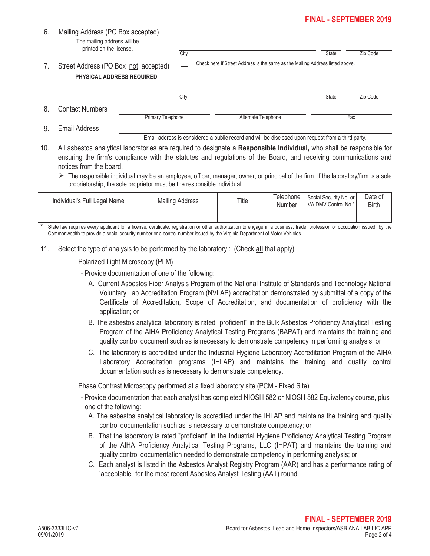# **FINAL - SEPTEMBER 2019**

|    |                                                                          |                   |      | Email address is considered a public record and will be disclosed upon request from a third party. |              |          |
|----|--------------------------------------------------------------------------|-------------------|------|----------------------------------------------------------------------------------------------------|--------------|----------|
| 9. | Email Address                                                            | Primary Telephone |      | Alternate Telephone                                                                                |              | Fax      |
| 8. | Contact Numbers                                                          |                   |      |                                                                                                    |              |          |
|    |                                                                          |                   | City |                                                                                                    | <b>State</b> | Zip Code |
| 7. | Street Address (PO Box not accepted)<br><b>PHYSICAL ADDRESS REQUIRED</b> |                   |      | Check here if Street Address is the same as the Mailing Address listed above.                      |              |          |
|    | printed on the license.                                                  |                   | City |                                                                                                    | <b>State</b> | Zip Code |
| 6. | Mailing Address (PO Box accepted)<br>The mailing address will be         |                   |      |                                                                                                    |              |          |

10. All asbestos analytical laboratories are required to designate a **Responsible Individual,** who shall be responsible for

ensuring the firm's compliance with the statutes and regulations of the Board, and receiving communications and notices from the board.

 $\triangleright$  The responsible individual may be an employee, officer, manager, owner, or principal of the firm. If the laboratory/firm is a sole proprietorship, the sole proprietor must be the responsible individual.

| Individual's Full Legal Name | <b>Mailing Address</b> | Title | Telephone<br>Number | Social Security No. or<br>VA DMV Control No.* | Date of<br><b>Birth</b> |
|------------------------------|------------------------|-------|---------------------|-----------------------------------------------|-------------------------|
|                              |                        |       |                     |                                               |                         |

State law requires every applicant for a license, certificate, registration or other authorization to engage in a business, trade, profession or occupation issued by the Commonwealth to provide a social security number or a control number issued by the Virginia Department of Motor Vehicles.

- 11. Select the type of analysis to be performed by the laboratory : (Check **all** that apply)
	- $\Box$  Polarized Light Microscopy (PLM)

Mailing Address (PO Box accepted)

- Provide documentation of one of the following:
	- A. Current Asbestos Fiber Analysis Program of the National Institute of Standards and Technology National Voluntary Lab Accreditation Program (NVLAP) accreditation demonstrated by submittal of a copy of the Certificate of Accreditation, Scope of Accreditation, and documentation of proficiency with the application; or
	- B. The asbestos analytical laboratory is rated "proficient" in the Bulk Asbestos Proficiency Analytical Testing Program of the AIHA Proficiency Analytical Testing Programs (BAPAT) and maintains the training and quality control document such as is necessary to demonstrate competency in performing analysis; or
	- C. The laboratory is accredited under the Industrial Hygiene Laboratory Accreditation Program of the AIHA Laboratory Accreditation programs (IHLAP) and maintains the training and quality control documentation such as is necessary to demonstrate competency.

Phase Contrast Microscopy performed at a fixed laboratory site (PCM - Fixed Site)

- Provide documentation that each analyst has completed NIOSH 582 or NIOSH 582 Equivalency course, plus one of the following:
	- A. The asbestos analytical laboratory is accredited under the IHLAP and maintains the training and quality control documentation such as is necessary to demonstrate competency; or
	- B. That the laboratory is rated "proficient" in the Industrial Hygiene Proficiency Analytical Testing Program of the AIHA Proficiency Analytical Testing Programs, LLC (IHPAT) and maintains the training and quality control documentation needed to demonstrate competency in performing analysis; or
	- C. Each analyst is listed in the Asbestos Analyst Registry Program (AAR) and has a performance rating of "acceptable" for the most recent Asbestos Analyst Testing (AAT) round.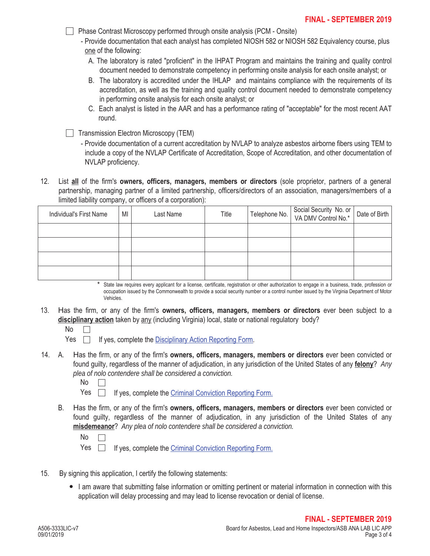- **Phase Contrast Microscopy performed through onsite analysis (PCM Onsite)** 
	- Provide documentation that each analyst has completed NIOSH 582 or NIOSH 582 Equivalency course, plus one of the following:
		- A. The laboratory is rated "proficient" in the IHPAT Program and maintains the training and quality control document needed to demonstrate competency in performing onsite analysis for each onsite analyst; or
		- B. The laboratory is accredited under the IHLAP and maintains compliance with the requirements of its accreditation, as well as the training and quality control document needed to demonstrate competency in performing onsite analysis for each onsite analyst; or
		- C. Each analyst is listed in the AAR and has a performance rating of "acceptable" for the most recent AAT round.
- $\Box$  Transmission Electron Microscopy (TEM)
	- Provide documentation of a current accreditation by NVLAP to analyze asbestos airborne fibers using TEM to include a copy of the NVLAP Certificate of Accreditation, Scope of Accreditation, and other documentation of NVLAP proficiency.
- 12. List **all** of the firm's **owners, officers, managers, members or directors** (sole proprietor, partners of a general partnership, managing partner of a limited partnership, officers/directors of an association, managers/members of a limited liability company, or officers of a corporation):

| Individual's First Name | MI | Last Name | Title | Telephone No. Social Security No. or | Date of Birth |
|-------------------------|----|-----------|-------|--------------------------------------|---------------|
|                         |    |           |       |                                      |               |
|                         |    |           |       |                                      |               |
|                         |    |           |       |                                      |               |
|                         |    |           |       |                                      |               |

State law requires every applicant for a license, certificate, registration or other authorization to engage in a business, trade, profession or occupation issued by the Commonwealth to provide a social security number or a control number issued by the Virginia Department of Motor Vehicles. \*

- 13. Has the firm, or any of the firm's **owners, officers, managers, members or directors** ever been subject to a **disciplinary action** taken by any (including Virginia) local, state or national regulatory body?
	- No  $\Box$

Yes  $\Box$  If yes, complete the Disciplinary Action Reporting Form.

A. 14. Has the firm, or any of the firm's **owners, officers, managers, members or directors** ever been convicted or found guilty, regardless of the manner of adjudication, in any jurisdiction of the United States of any **felony**? *Any plea of nolo contendere shall be considered a conviction.*

| ۰.<br>× |  |
|---------|--|
|---------|--|

Yes  $\Box$ If yes, complete the Criminal Conviction Reporting Form.

B. Has the firm, or any of the firm's **owners, officers, managers, members or directors** ever been convicted or found guilty, regardless of the manner of adjudication, in any jurisdiction of the United States of any **misdemeanor**? *Any plea of nolo contendere shall be considered a conviction.*

Yes **If yes, complete the Criminal Conviction Reporting Form.** 

- 15. By signing this application, I certify the following statements:
	- I am aware that submitting false information or omitting pertinent or material information in connection with this application will delay processing and may lead to license revocation or denial of license.

No